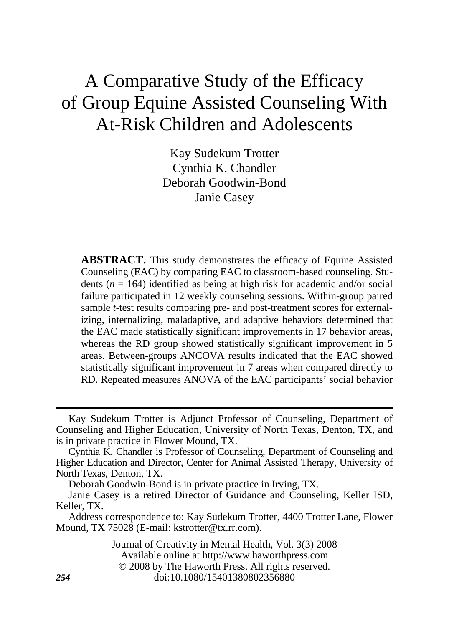# A Comparative Study of the Efficacy of Group Equine Assisted Counseling With At-Risk Children and Adolescents

Kay Sudekum Trotter Cynthia K. Chandler Deborah Goodwin-Bond Janie Casey

**ABSTRACT.** This study demonstrates the efficacy of Equine Assisted Counseling (EAC) by comparing EAC to classroom-based counseling*.* Students ( $n = 164$ ) identified as being at high risk for academic and/or social failure participated in 12 weekly counseling sessions. Within-group paired sample *t-*test results comparing pre- and post-treatment scores for externalizing, internalizing, maladaptive, and adaptive behaviors determined that the EAC made statistically significant improvements in 17 behavior areas, whereas the RD group showed statistically significant improvement in 5 areas. Between-groups ANCOVA results indicated that the EAC showed statistically significant improvement in 7 areas when compared directly to RD. Repeated measures ANOVA of the EAC participants' social behavior

Journal of Creativity in Mental Health, Vol. 3(3) 2008 Available online at http://www.haworthpress.com © 2008 by The Haworth Press. All rights reserved. *254* doi:10.1080/15401380802356880

Kay Sudekum Trotter is Adjunct Professor of Counseling, Department of Counseling and Higher Education, University of North Texas, Denton, TX, and is in private practice in Flower Mound, TX.

Cynthia K. Chandler is Professor of Counseling, Department of Counseling and Higher Education and Director, Center for Animal Assisted Therapy, University of North Texas, Denton, TX.

Deborah Goodwin-Bond is in private practice in Irving, TX.

Janie Casey is a retired Director of Guidance and Counseling, Keller ISD, Keller, TX.

Address correspondence to: Kay Sudekum Trotter, 4400 Trotter Lane, Flower Mound, TX 75028 (E-mail: kstrotter@tx.rr.com).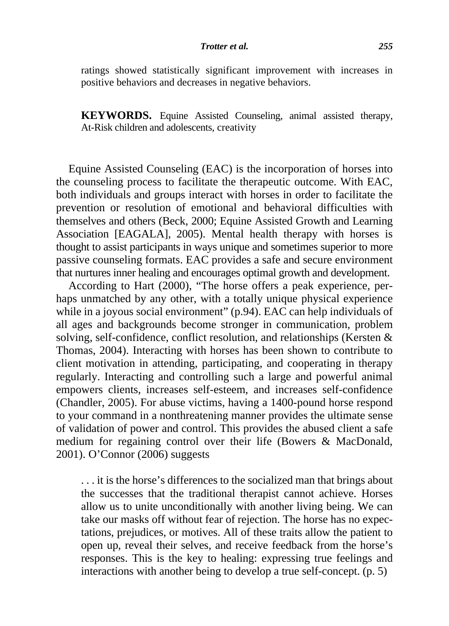ratings showed statistically significant improvement with increases in positive behaviors and decreases in negative behaviors.

**KEYWORDS.** Equine Assisted Counseling, animal assisted therapy, At-Risk children and adolescents, creativity

Equine Assisted Counseling (EAC) is the incorporation of horses into the counseling process to facilitate the therapeutic outcome. With EAC, both individuals and groups interact with horses in order to facilitate the prevention or resolution of emotional and behavioral difficulties with themselves and others (Beck, 2000; Equine Assisted Growth and Learning Association [EAGALA], 2005). Mental health therapy with horses is thought to assist participants in ways unique and sometimes superior to more passive counseling formats. EAC provides a safe and secure environment that nurtures inner healing and encourages optimal growth and development.

According to Hart (2000), "The horse offers a peak experience, perhaps unmatched by any other, with a totally unique physical experience while in a joyous social environment" (p.94). EAC can help individuals of all ages and backgrounds become stronger in communication, problem solving, self-confidence, conflict resolution, and relationships (Kersten & Thomas, 2004). Interacting with horses has been shown to contribute to client motivation in attending, participating, and cooperating in therapy regularly. Interacting and controlling such a large and powerful animal empowers clients, increases self-esteem, and increases self-confidence (Chandler, 2005). For abuse victims, having a 1400-pound horse respond to your command in a nonthreatening manner provides the ultimate sense of validation of power and control. This provides the abused client a safe medium for regaining control over their life (Bowers & MacDonald, 2001). O'Connor (2006) suggests

. . . it is the horse's differences to the socialized man that brings about the successes that the traditional therapist cannot achieve. Horses allow us to unite unconditionally with another living being. We can take our masks off without fear of rejection. The horse has no expectations, prejudices, or motives. All of these traits allow the patient to open up, reveal their selves, and receive feedback from the horse's responses. This is the key to healing: expressing true feelings and interactions with another being to develop a true self-concept. (p. 5)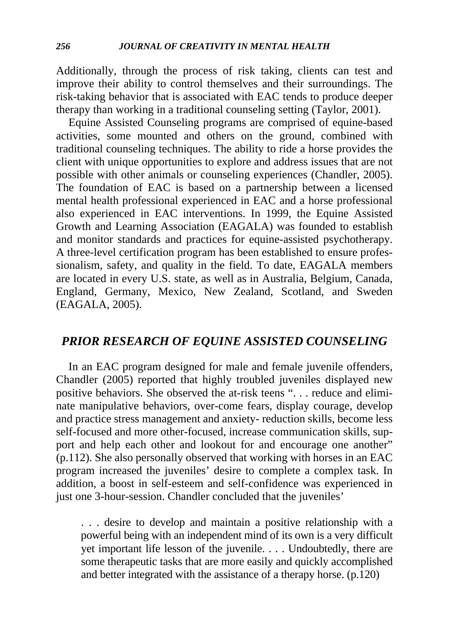Additionally, through the process of risk taking, clients can test and improve their ability to control themselves and their surroundings. The risk-taking behavior that is associated with EAC tends to produce deeper therapy than working in a traditional counseling setting (Taylor, 2001).

Equine Assisted Counseling programs are comprised of equine-based activities, some mounted and others on the ground, combined with traditional counseling techniques. The ability to ride a horse provides the client with unique opportunities to explore and address issues that are not possible with other animals or counseling experiences (Chandler, 2005). The foundation of EAC is based on a partnership between a licensed mental health professional experienced in EAC and a horse professional also experienced in EAC interventions. In 1999, the Equine Assisted Growth and Learning Association (EAGALA) was founded to establish and monitor standards and practices for equine-assisted psychotherapy. A three-level certification program has been established to ensure professionalism, safety, and quality in the field. To date, EAGALA members are located in every U.S. state, as well as in Australia, Belgium, Canada, England, Germany, Mexico, New Zealand, Scotland, and Sweden (EAGALA, 2005).

# *PRIOR RESEARCH OF EQUINE ASSISTED COUNSELING*

In an EAC program designed for male and female juvenile offenders, Chandler (2005) reported that highly troubled juveniles displayed new positive behaviors. She observed the at-risk teens ". . . reduce and eliminate manipulative behaviors, over-come fears, display courage, develop and practice stress management and anxiety- reduction skills, become less self-focused and more other-focused, increase communication skills, support and help each other and lookout for and encourage one another" (p.112). She also personally observed that working with horses in an EAC program increased the juveniles' desire to complete a complex task. In addition, a boost in self-esteem and self-confidence was experienced in just one 3-hour-session. Chandler concluded that the juveniles'

. . . desire to develop and maintain a positive relationship with a powerful being with an independent mind of its own is a very difficult yet important life lesson of the juvenile. . . . Undoubtedly, there are some therapeutic tasks that are more easily and quickly accomplished and better integrated with the assistance of a therapy horse. (p.120)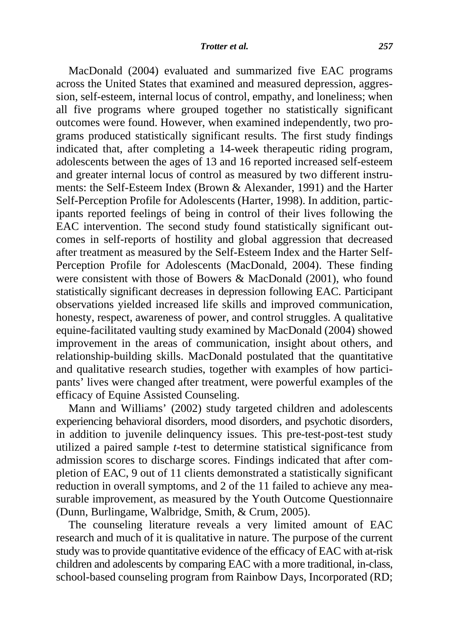MacDonald (2004) evaluated and summarized five EAC programs across the United States that examined and measured depression, aggression, self-esteem, internal locus of control, empathy, and loneliness; when all five programs where grouped together no statistically significant outcomes were found. However, when examined independently, two programs produced statistically significant results. The first study findings indicated that, after completing a 14-week therapeutic riding program, adolescents between the ages of 13 and 16 reported increased self-esteem and greater internal locus of control as measured by two different instruments: the Self-Esteem Index (Brown & Alexander, 1991) and the Harter Self-Perception Profile for Adolescents (Harter, 1998). In addition, participants reported feelings of being in control of their lives following the EAC intervention. The second study found statistically significant outcomes in self-reports of hostility and global aggression that decreased after treatment as measured by the Self-Esteem Index and the Harter Self-Perception Profile for Adolescents (MacDonald, 2004). These finding were consistent with those of Bowers & MacDonald (2001), who found statistically significant decreases in depression following EAC. Participant observations yielded increased life skills and improved communication, honesty, respect, awareness of power, and control struggles. A qualitative equine-facilitated vaulting study examined by MacDonald (2004) showed improvement in the areas of communication, insight about others, and relationship-building skills. MacDonald postulated that the quantitative and qualitative research studies, together with examples of how participants' lives were changed after treatment, were powerful examples of the efficacy of Equine Assisted Counseling.

Mann and Williams' (2002) study targeted children and adolescents experiencing behavioral disorders, mood disorders, and psychotic disorders, in addition to juvenile delinquency issues. This pre-test-post-test study utilized a paired sample *t*-test to determine statistical significance from admission scores to discharge scores. Findings indicated that after completion of EAC, 9 out of 11 clients demonstrated a statistically significant reduction in overall symptoms, and 2 of the 11 failed to achieve any measurable improvement, as measured by the Youth Outcome Questionnaire (Dunn, Burlingame, Walbridge, Smith, & Crum, 2005).

The counseling literature reveals a very limited amount of EAC research and much of it is qualitative in nature. The purpose of the current study was to provide quantitative evidence of the efficacy of EAC with at-risk children and adolescents by comparing EAC with a more traditional, in-class, school-based counseling program from Rainbow Days, Incorporated (RD;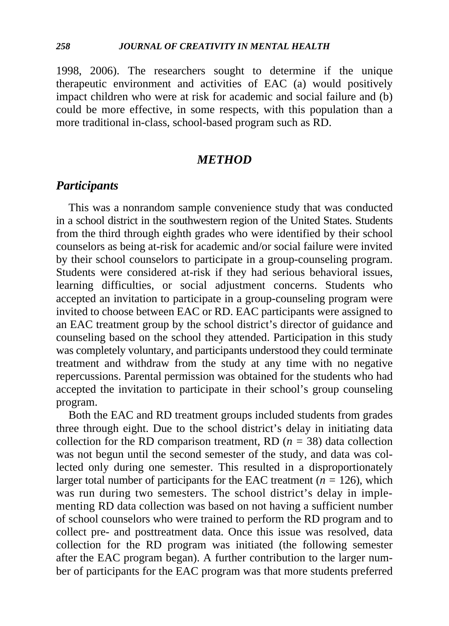1998, 2006). The researchers sought to determine if the unique therapeutic environment and activities of EAC (a) would positively impact children who were at risk for academic and social failure and (b) could be more effective, in some respects, with this population than a more traditional in-class, school-based program such as RD.

## *METHOD*

# *Participants*

This was a nonrandom sample convenience study that was conducted in a school district in the southwestern region of the United States. Students from the third through eighth grades who were identified by their school counselors as being at-risk for academic and/or social failure were invited by their school counselors to participate in a group-counseling program. Students were considered at-risk if they had serious behavioral issues, learning difficulties, or social adjustment concerns. Students who accepted an invitation to participate in a group-counseling program were invited to choose between EAC or RD. EAC participants were assigned to an EAC treatment group by the school district's director of guidance and counseling based on the school they attended. Participation in this study was completely voluntary, and participants understood they could terminate treatment and withdraw from the study at any time with no negative repercussions. Parental permission was obtained for the students who had accepted the invitation to participate in their school's group counseling program.

Both the EAC and RD treatment groups included students from grades three through eight. Due to the school district's delay in initiating data collection for the RD comparison treatment, RD ( $n = 38$ ) data collection was not begun until the second semester of the study, and data was collected only during one semester. This resulted in a disproportionately larger total number of participants for the EAC treatment ( $n = 126$ ), which was run during two semesters. The school district's delay in implementing RD data collection was based on not having a sufficient number of school counselors who were trained to perform the RD program and to collect pre- and posttreatment data. Once this issue was resolved, data collection for the RD program was initiated (the following semester after the EAC program began). A further contribution to the larger number of participants for the EAC program was that more students preferred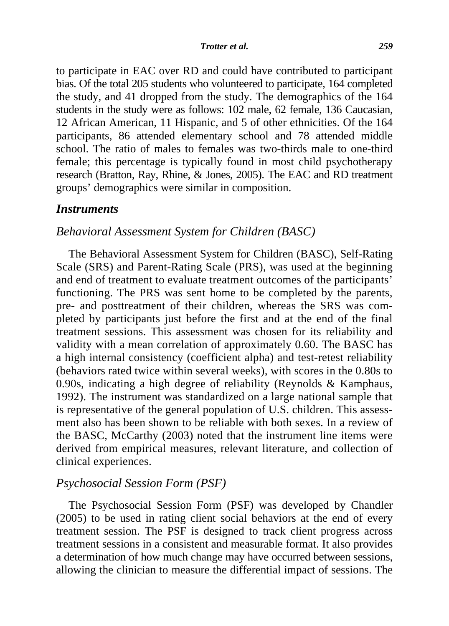to participate in EAC over RD and could have contributed to participant bias. Of the total 205 students who volunteered to participate, 164 completed the study, and 41 dropped from the study. The demographics of the 164 students in the study were as follows: 102 male, 62 female, 136 Caucasian, 12 African American, 11 Hispanic, and 5 of other ethnicities. Of the 164 participants, 86 attended elementary school and 78 attended middle school. The ratio of males to females was two-thirds male to one-third female; this percentage is typically found in most child psychotherapy research (Bratton, Ray, Rhine, & Jones, 2005). The EAC and RD treatment groups' demographics were similar in composition.

#### *Instruments*

#### *Behavioral Assessment System for Children (BASC)*

The Behavioral Assessment System for Children (BASC), Self-Rating Scale (SRS) and Parent-Rating Scale (PRS), was used at the beginning and end of treatment to evaluate treatment outcomes of the participants' functioning. The PRS was sent home to be completed by the parents, pre- and posttreatment of their children, whereas the SRS was completed by participants just before the first and at the end of the final treatment sessions. This assessment was chosen for its reliability and validity with a mean correlation of approximately 0.60. The BASC has a high internal consistency (coefficient alpha) and test-retest reliability (behaviors rated twice within several weeks), with scores in the 0.80s to 0.90s, indicating a high degree of reliability (Reynolds & Kamphaus, 1992). The instrument was standardized on a large national sample that is representative of the general population of U.S. children. This assessment also has been shown to be reliable with both sexes. In a review of the BASC, McCarthy (2003) noted that the instrument line items were derived from empirical measures, relevant literature, and collection of clinical experiences.

#### *Psychosocial Session Form (PSF)*

The Psychosocial Session Form (PSF) was developed by Chandler (2005) to be used in rating client social behaviors at the end of every treatment session. The PSF is designed to track client progress across treatment sessions in a consistent and measurable format. It also provides a determination of how much change may have occurred between sessions, allowing the clinician to measure the differential impact of sessions. The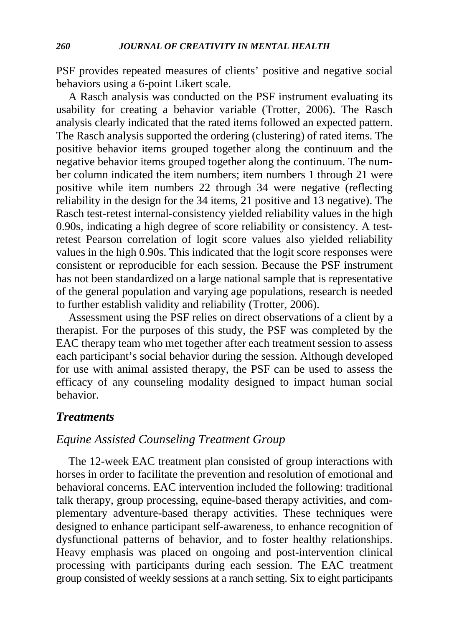PSF provides repeated measures of clients' positive and negative social behaviors using a 6-point Likert scale.

A Rasch analysis was conducted on the PSF instrument evaluating its usability for creating a behavior variable (Trotter, 2006). The Rasch analysis clearly indicated that the rated items followed an expected pattern. The Rasch analysis supported the ordering (clustering) of rated items. The positive behavior items grouped together along the continuum and the negative behavior items grouped together along the continuum. The number column indicated the item numbers; item numbers 1 through 21 were positive while item numbers 22 through 34 were negative (reflecting reliability in the design for the 34 items, 21 positive and 13 negative). The Rasch test-retest internal-consistency yielded reliability values in the high 0.90s, indicating a high degree of score reliability or consistency. A testretest Pearson correlation of logit score values also yielded reliability values in the high 0.90s. This indicated that the logit score responses were consistent or reproducible for each session. Because the PSF instrument has not been standardized on a large national sample that is representative of the general population and varying age populations, research is needed to further establish validity and reliability (Trotter, 2006).

Assessment using the PSF relies on direct observations of a client by a therapist. For the purposes of this study, the PSF was completed by the EAC therapy team who met together after each treatment session to assess each participant's social behavior during the session. Although developed for use with animal assisted therapy, the PSF can be used to assess the efficacy of any counseling modality designed to impact human social behavior.

## *Treatments*

# *Equine Assisted Counseling Treatment Group*

The 12-week EAC treatment plan consisted of group interactions with horses in order to facilitate the prevention and resolution of emotional and behavioral concerns. EAC intervention included the following: traditional talk therapy, group processing, equine-based therapy activities, and complementary adventure-based therapy activities. These techniques were designed to enhance participant self-awareness, to enhance recognition of dysfunctional patterns of behavior, and to foster healthy relationships. Heavy emphasis was placed on ongoing and post-intervention clinical processing with participants during each session. The EAC treatment group consisted of weekly sessions at a ranch setting. Six to eight participants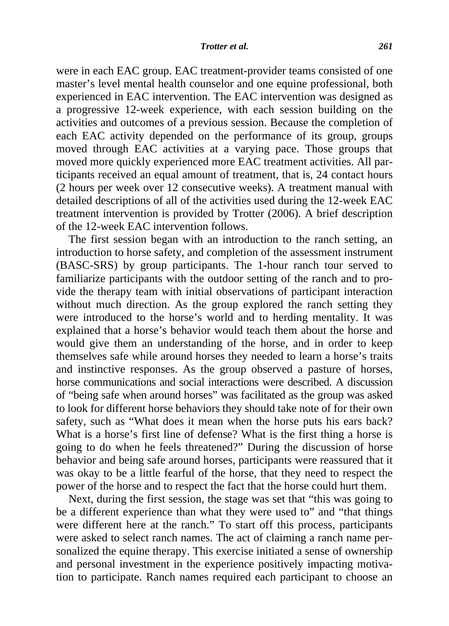were in each EAC group. EAC treatment-provider teams consisted of one master's level mental health counselor and one equine professional, both experienced in EAC intervention. The EAC intervention was designed as a progressive 12-week experience, with each session building on the activities and outcomes of a previous session. Because the completion of each EAC activity depended on the performance of its group, groups moved through EAC activities at a varying pace. Those groups that moved more quickly experienced more EAC treatment activities. All participants received an equal amount of treatment, that is, 24 contact hours (2 hours per week over 12 consecutive weeks). A treatment manual with detailed descriptions of all of the activities used during the 12-week EAC treatment intervention is provided by Trotter (2006). A brief description of the 12-week EAC intervention follows.

The first session began with an introduction to the ranch setting, an introduction to horse safety, and completion of the assessment instrument (BASC-SRS) by group participants. The 1-hour ranch tour served to familiarize participants with the outdoor setting of the ranch and to provide the therapy team with initial observations of participant interaction without much direction. As the group explored the ranch setting they were introduced to the horse's world and to herding mentality. It was explained that a horse's behavior would teach them about the horse and would give them an understanding of the horse, and in order to keep themselves safe while around horses they needed to learn a horse's traits and instinctive responses. As the group observed a pasture of horses, horse communications and social interactions were described. A discussion of "being safe when around horses" was facilitated as the group was asked to look for different horse behaviors they should take note of for their own safety, such as "What does it mean when the horse puts his ears back? What is a horse's first line of defense? What is the first thing a horse is going to do when he feels threatened?" During the discussion of horse behavior and being safe around horses, participants were reassured that it was okay to be a little fearful of the horse, that they need to respect the power of the horse and to respect the fact that the horse could hurt them.

Next, during the first session, the stage was set that "this was going to be a different experience than what they were used to" and "that things were different here at the ranch." To start off this process, participants were asked to select ranch names. The act of claiming a ranch name personalized the equine therapy. This exercise initiated a sense of ownership and personal investment in the experience positively impacting motivation to participate. Ranch names required each participant to choose an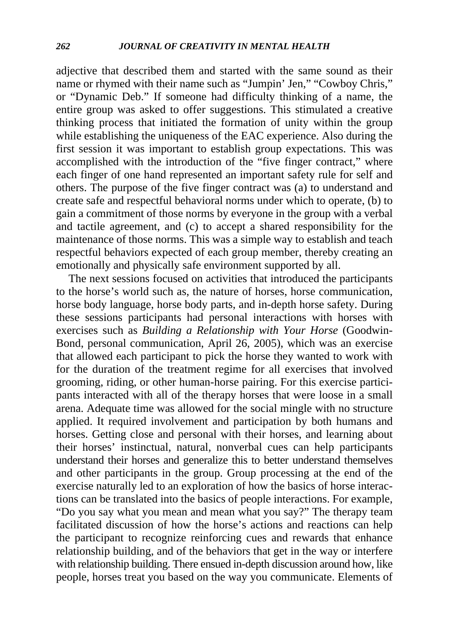adjective that described them and started with the same sound as their name or rhymed with their name such as "Jumpin' Jen," "Cowboy Chris," or "Dynamic Deb." If someone had difficulty thinking of a name, the entire group was asked to offer suggestions. This stimulated a creative thinking process that initiated the formation of unity within the group while establishing the uniqueness of the EAC experience. Also during the first session it was important to establish group expectations. This was accomplished with the introduction of the "five finger contract," where each finger of one hand represented an important safety rule for self and others. The purpose of the five finger contract was (a) to understand and create safe and respectful behavioral norms under which to operate, (b) to gain a commitment of those norms by everyone in the group with a verbal and tactile agreement, and (c) to accept a shared responsibility for the maintenance of those norms. This was a simple way to establish and teach respectful behaviors expected of each group member, thereby creating an emotionally and physically safe environment supported by all.

The next sessions focused on activities that introduced the participants to the horse's world such as, the nature of horses, horse communication, horse body language, horse body parts, and in-depth horse safety. During these sessions participants had personal interactions with horses with exercises such as *Building a Relationship with Your Horse* (Goodwin-Bond, personal communication, April 26, 2005), which was an exercise that allowed each participant to pick the horse they wanted to work with for the duration of the treatment regime for all exercises that involved grooming, riding, or other human-horse pairing. For this exercise participants interacted with all of the therapy horses that were loose in a small arena. Adequate time was allowed for the social mingle with no structure applied. It required involvement and participation by both humans and horses. Getting close and personal with their horses, and learning about their horses' instinctual, natural, nonverbal cues can help participants understand their horses and generalize this to better understand themselves and other participants in the group. Group processing at the end of the exercise naturally led to an exploration of how the basics of horse interactions can be translated into the basics of people interactions. For example, "Do you say what you mean and mean what you say?" The therapy team facilitated discussion of how the horse's actions and reactions can help the participant to recognize reinforcing cues and rewards that enhance relationship building, and of the behaviors that get in the way or interfere with relationship building. There ensued in-depth discussion around how, like people, horses treat you based on the way you communicate. Elements of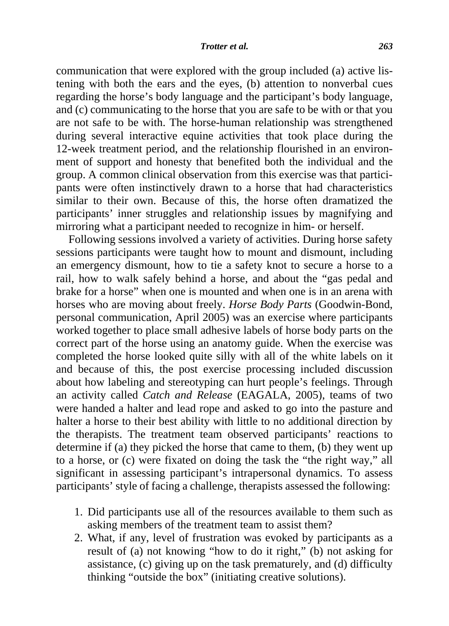communication that were explored with the group included (a) active listening with both the ears and the eyes, (b) attention to nonverbal cues regarding the horse's body language and the participant's body language, and (c) communicating to the horse that you are safe to be with or that you are not safe to be with. The horse-human relationship was strengthened during several interactive equine activities that took place during the 12-week treatment period, and the relationship flourished in an environment of support and honesty that benefited both the individual and the group. A common clinical observation from this exercise was that participants were often instinctively drawn to a horse that had characteristics similar to their own. Because of this, the horse often dramatized the participants' inner struggles and relationship issues by magnifying and mirroring what a participant needed to recognize in him- or herself.

Following sessions involved a variety of activities. During horse safety sessions participants were taught how to mount and dismount, including an emergency dismount, how to tie a safety knot to secure a horse to a rail, how to walk safely behind a horse, and about the "gas pedal and brake for a horse" when one is mounted and when one is in an arena with horses who are moving about freely. *Horse Body Parts* (Goodwin-Bond, personal communication, April 2005) was an exercise where participants worked together to place small adhesive labels of horse body parts on the correct part of the horse using an anatomy guide. When the exercise was completed the horse looked quite silly with all of the white labels on it and because of this, the post exercise processing included discussion about how labeling and stereotyping can hurt people's feelings. Through an activity called *Catch and Release* (EAGALA, 2005), teams of two were handed a halter and lead rope and asked to go into the pasture and halter a horse to their best ability with little to no additional direction by the therapists. The treatment team observed participants' reactions to determine if (a) they picked the horse that came to them, (b) they went up to a horse, or (c) were fixated on doing the task the "the right way," all significant in assessing participant's intrapersonal dynamics. To assess participants' style of facing a challenge, therapists assessed the following:

- 1. Did participants use all of the resources available to them such as asking members of the treatment team to assist them?
- 2. What, if any, level of frustration was evoked by participants as a result of (a) not knowing "how to do it right," (b) not asking for assistance, (c) giving up on the task prematurely, and (d) difficulty thinking "outside the box" (initiating creative solutions).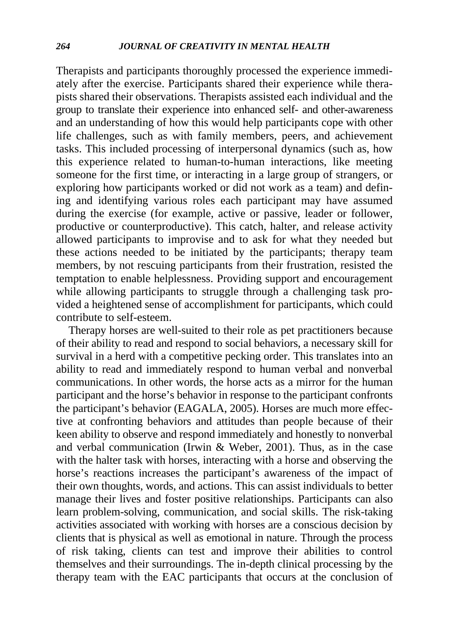Therapists and participants thoroughly processed the experience immediately after the exercise. Participants shared their experience while therapists shared their observations. Therapists assisted each individual and the group to translate their experience into enhanced self- and other-awareness and an understanding of how this would help participants cope with other life challenges, such as with family members, peers, and achievement tasks. This included processing of interpersonal dynamics (such as, how this experience related to human-to-human interactions, like meeting someone for the first time, or interacting in a large group of strangers, or exploring how participants worked or did not work as a team) and defining and identifying various roles each participant may have assumed during the exercise (for example, active or passive, leader or follower, productive or counterproductive). This catch, halter, and release activity allowed participants to improvise and to ask for what they needed but these actions needed to be initiated by the participants; therapy team members, by not rescuing participants from their frustration, resisted the temptation to enable helplessness. Providing support and encouragement while allowing participants to struggle through a challenging task provided a heightened sense of accomplishment for participants, which could contribute to self-esteem.

Therapy horses are well-suited to their role as pet practitioners because of their ability to read and respond to social behaviors, a necessary skill for survival in a herd with a competitive pecking order. This translates into an ability to read and immediately respond to human verbal and nonverbal communications. In other words, the horse acts as a mirror for the human participant and the horse's behavior in response to the participant confronts the participant's behavior (EAGALA, 2005). Horses are much more effective at confronting behaviors and attitudes than people because of their keen ability to observe and respond immediately and honestly to nonverbal and verbal communication (Irwin & Weber, 2001). Thus, as in the case with the halter task with horses, interacting with a horse and observing the horse's reactions increases the participant's awareness of the impact of their own thoughts, words, and actions. This can assist individuals to better manage their lives and foster positive relationships. Participants can also learn problem-solving, communication, and social skills. The risk-taking activities associated with working with horses are a conscious decision by clients that is physical as well as emotional in nature. Through the process of risk taking, clients can test and improve their abilities to control themselves and their surroundings. The in-depth clinical processing by the therapy team with the EAC participants that occurs at the conclusion of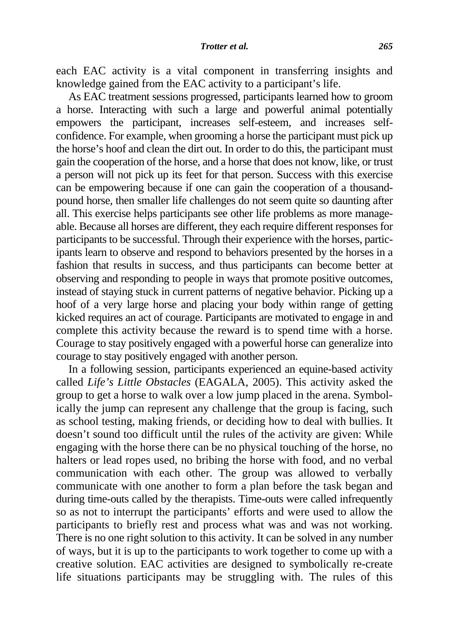each EAC activity is a vital component in transferring insights and knowledge gained from the EAC activity to a participant's life.

As EAC treatment sessions progressed, participants learned how to groom a horse. Interacting with such a large and powerful animal potentially empowers the participant, increases self-esteem, and increases selfconfidence. For example, when grooming a horse the participant must pick up the horse's hoof and clean the dirt out. In order to do this, the participant must gain the cooperation of the horse, and a horse that does not know, like, or trust a person will not pick up its feet for that person. Success with this exercise can be empowering because if one can gain the cooperation of a thousandpound horse, then smaller life challenges do not seem quite so daunting after all. This exercise helps participants see other life problems as more manageable. Because all horses are different, they each require different responses for participants to be successful. Through their experience with the horses, participants learn to observe and respond to behaviors presented by the horses in a fashion that results in success, and thus participants can become better at observing and responding to people in ways that promote positive outcomes, instead of staying stuck in current patterns of negative behavior. Picking up a hoof of a very large horse and placing your body within range of getting kicked requires an act of courage. Participants are motivated to engage in and complete this activity because the reward is to spend time with a horse. Courage to stay positively engaged with a powerful horse can generalize into courage to stay positively engaged with another person.

In a following session, participants experienced an equine-based activity called *Life's Little Obstacles* (EAGALA, 2005). This activity asked the group to get a horse to walk over a low jump placed in the arena. Symbolically the jump can represent any challenge that the group is facing, such as school testing, making friends, or deciding how to deal with bullies. It doesn't sound too difficult until the rules of the activity are given: While engaging with the horse there can be no physical touching of the horse, no halters or lead ropes used, no bribing the horse with food, and no verbal communication with each other. The group was allowed to verbally communicate with one another to form a plan before the task began and during time-outs called by the therapists. Time-outs were called infrequently so as not to interrupt the participants' efforts and were used to allow the participants to briefly rest and process what was and was not working. There is no one right solution to this activity. It can be solved in any number of ways, but it is up to the participants to work together to come up with a creative solution. EAC activities are designed to symbolically re-create life situations participants may be struggling with. The rules of this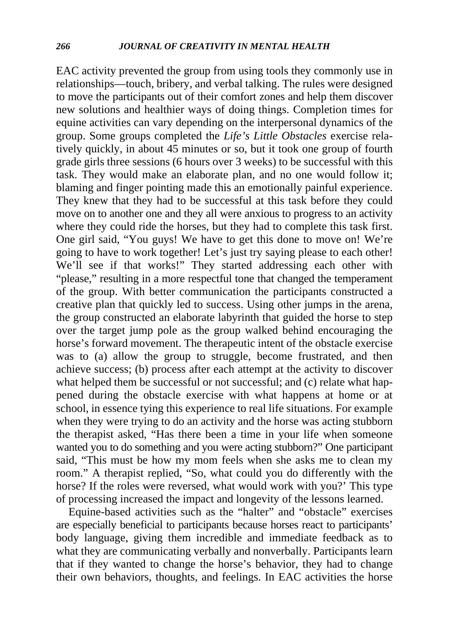EAC activity prevented the group from using tools they commonly use in relationships—touch, bribery, and verbal talking. The rules were designed to move the participants out of their comfort zones and help them discover new solutions and healthier ways of doing things. Completion times for equine activities can vary depending on the interpersonal dynamics of the group. Some groups completed the *Life's Little Obstacles* exercise relatively quickly, in about 45 minutes or so, but it took one group of fourth grade girls three sessions (6 hours over 3 weeks) to be successful with this task. They would make an elaborate plan, and no one would follow it; blaming and finger pointing made this an emotionally painful experience. They knew that they had to be successful at this task before they could move on to another one and they all were anxious to progress to an activity where they could ride the horses, but they had to complete this task first. One girl said, "You guys! We have to get this done to move on! We're going to have to work together! Let's just try saying please to each other! We'll see if that works!" They started addressing each other with "please," resulting in a more respectful tone that changed the temperament of the group. With better communication the participants constructed a creative plan that quickly led to success. Using other jumps in the arena, the group constructed an elaborate labyrinth that guided the horse to step over the target jump pole as the group walked behind encouraging the horse's forward movement. The therapeutic intent of the obstacle exercise was to (a) allow the group to struggle, become frustrated, and then achieve success; (b) process after each attempt at the activity to discover what helped them be successful or not successful; and (c) relate what happened during the obstacle exercise with what happens at home or at school, in essence tying this experience to real life situations. For example when they were trying to do an activity and the horse was acting stubborn the therapist asked, "Has there been a time in your life when someone wanted you to do something and you were acting stubborn?" One participant said, "This must be how my mom feels when she asks me to clean my room." A therapist replied, "So, what could you do differently with the horse? If the roles were reversed, what would work with you?' This type of processing increased the impact and longevity of the lessons learned.

Equine-based activities such as the "halter" and "obstacle" exercises are especially beneficial to participants because horses react to participants' body language, giving them incredible and immediate feedback as to what they are communicating verbally and nonverbally. Participants learn that if they wanted to change the horse's behavior, they had to change their own behaviors, thoughts, and feelings. In EAC activities the horse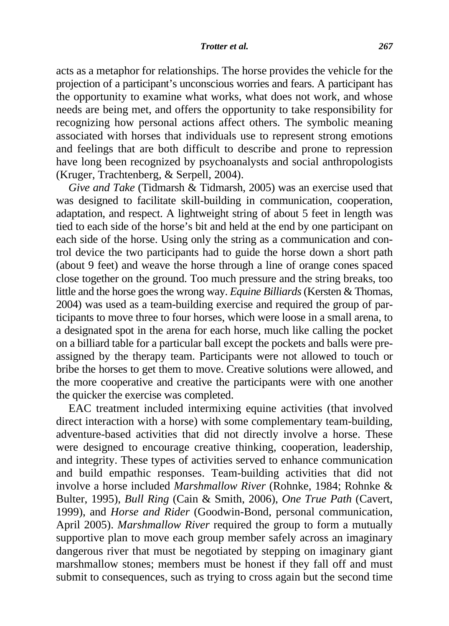acts as a metaphor for relationships. The horse provides the vehicle for the projection of a participant's unconscious worries and fears. A participant has the opportunity to examine what works, what does not work, and whose needs are being met, and offers the opportunity to take responsibility for recognizing how personal actions affect others. The symbolic meaning associated with horses that individuals use to represent strong emotions and feelings that are both difficult to describe and prone to repression have long been recognized by psychoanalysts and social anthropologists (Kruger, Trachtenberg, & Serpell, 2004).

*Give and Take* (Tidmarsh & Tidmarsh, 2005) was an exercise used that was designed to facilitate skill-building in communication, cooperation, adaptation, and respect. A lightweight string of about 5 feet in length was tied to each side of the horse's bit and held at the end by one participant on each side of the horse. Using only the string as a communication and control device the two participants had to guide the horse down a short path (about 9 feet) and weave the horse through a line of orange cones spaced close together on the ground. Too much pressure and the string breaks, too little and the horse goes the wrong way. *Equine Billiards* (Kersten & Thomas, 2004) was used as a team-building exercise and required the group of participants to move three to four horses, which were loose in a small arena, to a designated spot in the arena for each horse, much like calling the pocket on a billiard table for a particular ball except the pockets and balls were preassigned by the therapy team. Participants were not allowed to touch or bribe the horses to get them to move. Creative solutions were allowed, and the more cooperative and creative the participants were with one another the quicker the exercise was completed.

EAC treatment included intermixing equine activities (that involved direct interaction with a horse) with some complementary team-building, adventure-based activities that did not directly involve a horse. These were designed to encourage creative thinking, cooperation, leadership, and integrity. These types of activities served to enhance communication and build empathic responses. Team-building activities that did not involve a horse included *Marshmallow River* (Rohnke, 1984; Rohnke & Bulter, 1995), *Bull Ring* (Cain & Smith, 2006), *One True Path* (Cavert, 1999), and *Horse and Rider* (Goodwin-Bond, personal communication, April 2005). *Marshmallow River* required the group to form a mutually supportive plan to move each group member safely across an imaginary dangerous river that must be negotiated by stepping on imaginary giant marshmallow stones; members must be honest if they fall off and must submit to consequences, such as trying to cross again but the second time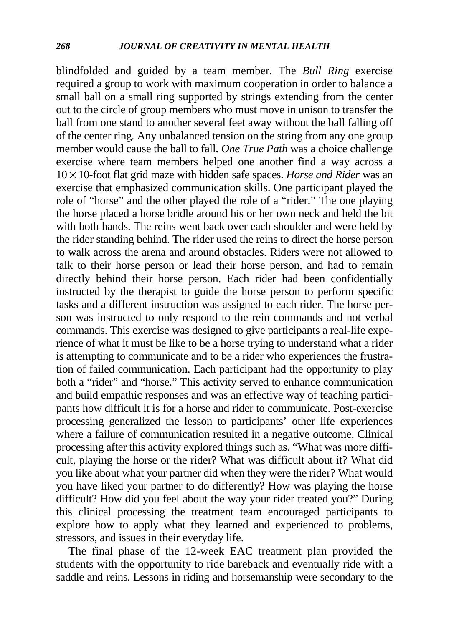blindfolded and guided by a team member. The *Bull Ring* exercise required a group to work with maximum cooperation in order to balance a small ball on a small ring supported by strings extending from the center out to the circle of group members who must move in unison to transfer the ball from one stand to another several feet away without the ball falling off of the center ring*.* Any unbalanced tension on the string from any one group member would cause the ball to fall. *One True Path* was a choice challenge exercise where team members helped one another find a way across a 10 × 10-foot flat grid maze with hidden safe spaces. *Horse and Rider* was an exercise that emphasized communication skills. One participant played the role of "horse" and the other played the role of a "rider." The one playing the horse placed a horse bridle around his or her own neck and held the bit with both hands. The reins went back over each shoulder and were held by the rider standing behind. The rider used the reins to direct the horse person to walk across the arena and around obstacles. Riders were not allowed to talk to their horse person or lead their horse person, and had to remain directly behind their horse person. Each rider had been confidentially instructed by the therapist to guide the horse person to perform specific tasks and a different instruction was assigned to each rider. The horse person was instructed to only respond to the rein commands and not verbal commands. This exercise was designed to give participants a real-life experience of what it must be like to be a horse trying to understand what a rider is attempting to communicate and to be a rider who experiences the frustration of failed communication. Each participant had the opportunity to play both a "rider" and "horse." This activity served to enhance communication and build empathic responses and was an effective way of teaching participants how difficult it is for a horse and rider to communicate. Post-exercise processing generalized the lesson to participants' other life experiences where a failure of communication resulted in a negative outcome. Clinical processing after this activity explored things such as, "What was more difficult, playing the horse or the rider? What was difficult about it? What did you like about what your partner did when they were the rider? What would you have liked your partner to do differently? How was playing the horse difficult? How did you feel about the way your rider treated you?" During this clinical processing the treatment team encouraged participants to explore how to apply what they learned and experienced to problems, stressors, and issues in their everyday life.

The final phase of the 12-week EAC treatment plan provided the students with the opportunity to ride bareback and eventually ride with a saddle and reins. Lessons in riding and horsemanship were secondary to the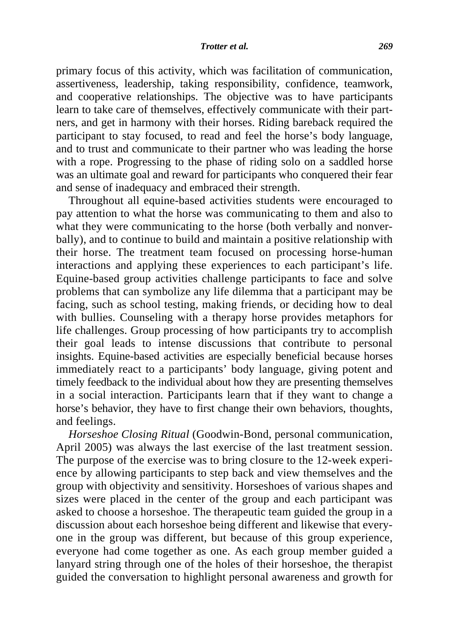primary focus of this activity, which was facilitation of communication, assertiveness, leadership, taking responsibility, confidence, teamwork, and cooperative relationships. The objective was to have participants learn to take care of themselves, effectively communicate with their partners, and get in harmony with their horses. Riding bareback required the participant to stay focused, to read and feel the horse's body language, and to trust and communicate to their partner who was leading the horse with a rope. Progressing to the phase of riding solo on a saddled horse was an ultimate goal and reward for participants who conquered their fear and sense of inadequacy and embraced their strength.

Throughout all equine-based activities students were encouraged to pay attention to what the horse was communicating to them and also to what they were communicating to the horse (both verbally and nonverbally), and to continue to build and maintain a positive relationship with their horse. The treatment team focused on processing horse-human interactions and applying these experiences to each participant's life. Equine-based group activities challenge participants to face and solve problems that can symbolize any life dilemma that a participant may be facing, such as school testing, making friends, or deciding how to deal with bullies. Counseling with a therapy horse provides metaphors for life challenges. Group processing of how participants try to accomplish their goal leads to intense discussions that contribute to personal insights. Equine-based activities are especially beneficial because horses immediately react to a participants' body language, giving potent and timely feedback to the individual about how they are presenting themselves in a social interaction. Participants learn that if they want to change a horse's behavior, they have to first change their own behaviors, thoughts, and feelings.

*Horseshoe Closing Ritual* (Goodwin-Bond, personal communication, April 2005) was always the last exercise of the last treatment session. The purpose of the exercise was to bring closure to the 12-week experience by allowing participants to step back and view themselves and the group with objectivity and sensitivity. Horseshoes of various shapes and sizes were placed in the center of the group and each participant was asked to choose a horseshoe. The therapeutic team guided the group in a discussion about each horseshoe being different and likewise that everyone in the group was different, but because of this group experience, everyone had come together as one. As each group member guided a lanyard string through one of the holes of their horseshoe, the therapist guided the conversation to highlight personal awareness and growth for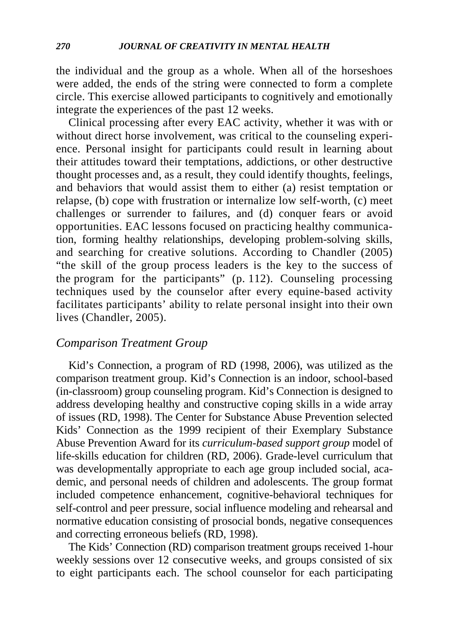the individual and the group as a whole. When all of the horseshoes were added, the ends of the string were connected to form a complete circle. This exercise allowed participants to cognitively and emotionally integrate the experiences of the past 12 weeks.

Clinical processing after every EAC activity, whether it was with or without direct horse involvement, was critical to the counseling experience. Personal insight for participants could result in learning about their attitudes toward their temptations, addictions, or other destructive thought processes and, as a result, they could identify thoughts, feelings, and behaviors that would assist them to either (a) resist temptation or relapse, (b) cope with frustration or internalize low self-worth, (c) meet challenges or surrender to failures, and (d) conquer fears or avoid opportunities. EAC lessons focused on practicing healthy communication, forming healthy relationships, developing problem-solving skills, and searching for creative solutions. According to Chandler (2005) "the skill of the group process leaders is the key to the success of the program for the participants" (p. 112). Counseling processing techniques used by the counselor after every equine-based activity facilitates participants' ability to relate personal insight into their own lives (Chandler, 2005).

# *Comparison Treatment Group*

Kid's Connection, a program of RD (1998, 2006), was utilized as the comparison treatment group. Kid's Connection is an indoor, school-based (in-classroom) group counseling program. Kid's Connection is designed to address developing healthy and constructive coping skills in a wide array of issues (RD, 1998). The Center for Substance Abuse Prevention selected Kids' Connection as the 1999 recipient of their Exemplary Substance Abuse Prevention Award for its *curriculum-based support group* model of life-skills education for children (RD, 2006). Grade-level curriculum that was developmentally appropriate to each age group included social, academic, and personal needs of children and adolescents. The group format included competence enhancement, cognitive-behavioral techniques for self-control and peer pressure, social influence modeling and rehearsal and normative education consisting of prosocial bonds, negative consequences and correcting erroneous beliefs (RD, 1998).

The Kids' Connection (RD) comparison treatment groups received 1-hour weekly sessions over 12 consecutive weeks, and groups consisted of six to eight participants each. The school counselor for each participating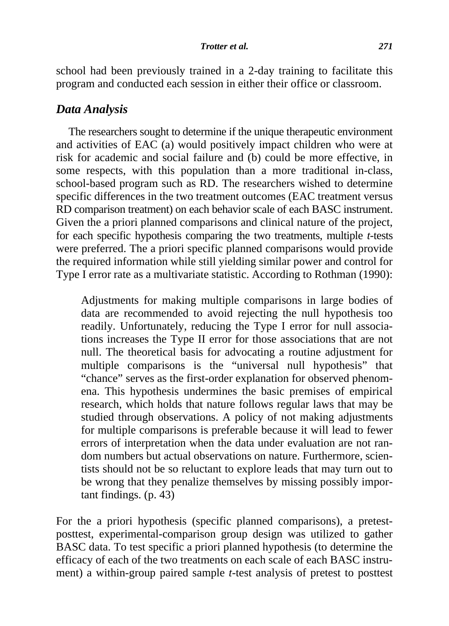school had been previously trained in a 2-day training to facilitate this program and conducted each session in either their office or classroom.

# *Data Analysis*

The researchers sought to determine if the unique therapeutic environment and activities of EAC (a) would positively impact children who were at risk for academic and social failure and (b) could be more effective, in some respects, with this population than a more traditional in-class, school-based program such as RD. The researchers wished to determine specific differences in the two treatment outcomes (EAC treatment versus RD comparison treatment) on each behavior scale of each BASC instrument. Given the a priori planned comparisons and clinical nature of the project, for each specific hypothesis comparing the two treatments, multiple *t*-tests were preferred. The a priori specific planned comparisons would provide the required information while still yielding similar power and control for Type I error rate as a multivariate statistic. According to Rothman (1990):

Adjustments for making multiple comparisons in large bodies of data are recommended to avoid rejecting the null hypothesis too readily. Unfortunately, reducing the Type I error for null associations increases the Type II error for those associations that are not null. The theoretical basis for advocating a routine adjustment for multiple comparisons is the "universal null hypothesis" that "chance" serves as the first-order explanation for observed phenomena. This hypothesis undermines the basic premises of empirical research, which holds that nature follows regular laws that may be studied through observations. A policy of not making adjustments for multiple comparisons is preferable because it will lead to fewer errors of interpretation when the data under evaluation are not random numbers but actual observations on nature. Furthermore, scientists should not be so reluctant to explore leads that may turn out to be wrong that they penalize themselves by missing possibly important findings. (p. 43)

For the a priori hypothesis (specific planned comparisons), a pretestposttest, experimental-comparison group design was utilized to gather BASC data. To test specific a priori planned hypothesis (to determine the efficacy of each of the two treatments on each scale of each BASC instrument) a within-group paired sample *t*-test analysis of pretest to posttest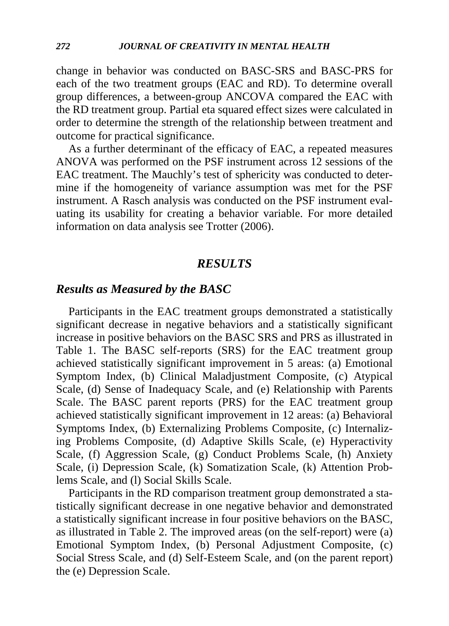change in behavior was conducted on BASC-SRS and BASC-PRS for each of the two treatment groups (EAC and RD). To determine overall group differences, a between-group ANCOVA compared the EAC with the RD treatment group. Partial eta squared effect sizes were calculated in order to determine the strength of the relationship between treatment and outcome for practical significance.

As a further determinant of the efficacy of EAC, a repeated measures ANOVA was performed on the PSF instrument across 12 sessions of the EAC treatment. The Mauchly's test of sphericity was conducted to determine if the homogeneity of variance assumption was met for the PSF instrument. A Rasch analysis was conducted on the PSF instrument evaluating its usability for creating a behavior variable. For more detailed information on data analysis see Trotter (2006).

#### *RESULTS*

## *Results as Measured by the BASC*

Participants in the EAC treatment groups demonstrated a statistically significant decrease in negative behaviors and a statistically significant increase in positive behaviors on the BASC SRS and PRS as illustrated in Table 1. The BASC self-reports (SRS) for the EAC treatment group achieved statistically significant improvement in 5 areas: (a) Emotional Symptom Index, (b) Clinical Maladjustment Composite, (c) Atypical Scale, (d) Sense of Inadequacy Scale, and (e) Relationship with Parents Scale. The BASC parent reports (PRS) for the EAC treatment group achieved statistically significant improvement in 12 areas: (a) Behavioral Symptoms Index, (b) Externalizing Problems Composite, (c) Internalizing Problems Composite, (d) Adaptive Skills Scale, (e) Hyperactivity Scale, (f) Aggression Scale, (g) Conduct Problems Scale, (h) Anxiety Scale, (i) Depression Scale, (k) Somatization Scale, (k) Attention Problems Scale, and (l) Social Skills Scale.

Participants in the RD comparison treatment group demonstrated a statistically significant decrease in one negative behavior and demonstrated a statistically significant increase in four positive behaviors on the BASC, as illustrated in Table 2. The improved areas (on the self-report) were (a) Emotional Symptom Index, (b) Personal Adjustment Composite, (c) Social Stress Scale, and (d) Self-Esteem Scale, and (on the parent report) the (e) Depression Scale.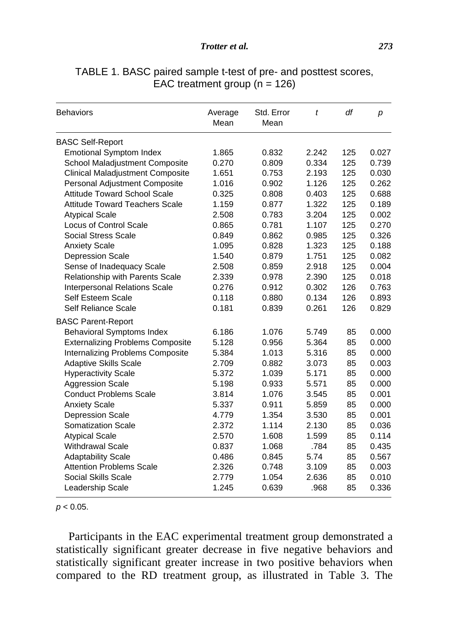| <b>Behaviors</b>                        | Average<br>Mean | Std. Error<br>Mean | t     | df  | p     |
|-----------------------------------------|-----------------|--------------------|-------|-----|-------|
| <b>BASC Self-Report</b>                 |                 |                    |       |     |       |
| <b>Emotional Symptom Index</b>          | 1.865           | 0.832              | 2.242 | 125 | 0.027 |
| School Maladjustment Composite          | 0.270           | 0.809              | 0.334 | 125 | 0.739 |
| <b>Clinical Maladjustment Composite</b> | 1.651           | 0.753              | 2.193 | 125 | 0.030 |
| Personal Adjustment Composite           | 1.016           | 0.902              | 1.126 | 125 | 0.262 |
| <b>Attitude Toward School Scale</b>     | 0.325           | 0.808              | 0.403 | 125 | 0.688 |
| <b>Attitude Toward Teachers Scale</b>   | 1.159           | 0.877              | 1.322 | 125 | 0.189 |
| <b>Atypical Scale</b>                   | 2.508           | 0.783              | 3.204 | 125 | 0.002 |
| Locus of Control Scale                  | 0.865           | 0.781              | 1.107 | 125 | 0.270 |
| Social Stress Scale                     | 0.849           | 0.862              | 0.985 | 125 | 0.326 |
| <b>Anxiety Scale</b>                    | 1.095           | 0.828              | 1.323 | 125 | 0.188 |
| <b>Depression Scale</b>                 | 1.540           | 0.879              | 1.751 | 125 | 0.082 |
| Sense of Inadequacy Scale               | 2.508           | 0.859              | 2.918 | 125 | 0.004 |
| Relationship with Parents Scale         | 2.339           | 0.978              | 2.390 | 125 | 0.018 |
| <b>Interpersonal Relations Scale</b>    | 0.276           | 0.912              | 0.302 | 126 | 0.763 |
| Self Esteem Scale                       | 0.118           | 0.880              | 0.134 | 126 | 0.893 |
| Self Reliance Scale                     | 0.181           | 0.839              | 0.261 | 126 | 0.829 |
| <b>BASC Parent-Report</b>               |                 |                    |       |     |       |
| <b>Behavioral Symptoms Index</b>        | 6.186           | 1.076              | 5.749 | 85  | 0.000 |
| <b>Externalizing Problems Composite</b> | 5.128           | 0.956              | 5.364 | 85  | 0.000 |
| <b>Internalizing Problems Composite</b> | 5.384           | 1.013              | 5.316 | 85  | 0.000 |
| <b>Adaptive Skills Scale</b>            | 2.709           | 0.882              | 3.073 | 85  | 0.003 |
| <b>Hyperactivity Scale</b>              | 5.372           | 1.039              | 5.171 | 85  | 0.000 |
| <b>Aggression Scale</b>                 | 5.198           | 0.933              | 5.571 | 85  | 0.000 |
| <b>Conduct Problems Scale</b>           | 3.814           | 1.076              | 3.545 | 85  | 0.001 |
| <b>Anxiety Scale</b>                    | 5.337           | 0.911              | 5.859 | 85  | 0.000 |
| <b>Depression Scale</b>                 | 4.779           | 1.354              | 3.530 | 85  | 0.001 |
| <b>Somatization Scale</b>               | 2.372           | 1.114              | 2.130 | 85  | 0.036 |
| <b>Atypical Scale</b>                   | 2.570           | 1.608              | 1.599 | 85  | 0.114 |
| <b>Withdrawal Scale</b>                 | 0.837           | 1.068              | .784  | 85  | 0.435 |
| <b>Adaptability Scale</b>               | 0.486           | 0.845              | 5.74  | 85  | 0.567 |
| <b>Attention Problems Scale</b>         | 2.326           | 0.748              | 3.109 | 85  | 0.003 |
| Social Skills Scale                     | 2.779           | 1.054              | 2.636 | 85  | 0.010 |
| Leadership Scale                        | 1.245           | 0.639              | .968  | 85  | 0.336 |

## TABLE 1. BASC paired sample t-test of pre- and posttest scores, EAC treatment group ( $n = 126$ )

*p* < 0.05.

Participants in the EAC experimental treatment group demonstrated a statistically significant greater decrease in five negative behaviors and statistically significant greater increase in two positive behaviors when compared to the RD treatment group, as illustrated in Table 3. The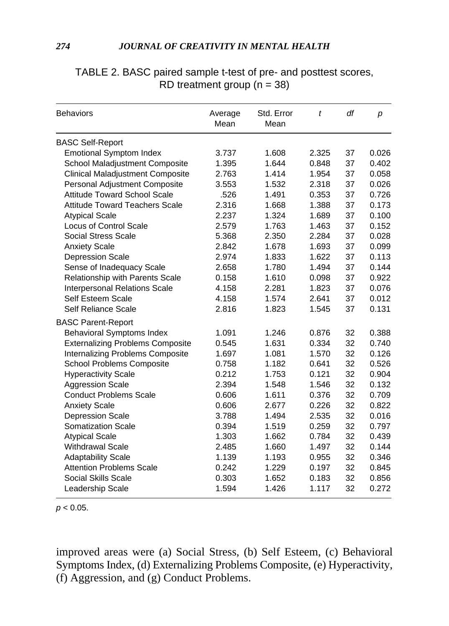| <b>Behaviors</b>                        | Average<br>Mean | Std. Error<br>Mean | t     | df | р     |
|-----------------------------------------|-----------------|--------------------|-------|----|-------|
| <b>BASC Self-Report</b>                 |                 |                    |       |    |       |
| <b>Emotional Symptom Index</b>          | 3.737           | 1.608              | 2.325 | 37 | 0.026 |
| School Maladjustment Composite          | 1.395           | 1.644              | 0.848 | 37 | 0.402 |
| <b>Clinical Maladjustment Composite</b> | 2.763           | 1.414              | 1.954 | 37 | 0.058 |
| Personal Adjustment Composite           | 3.553           | 1.532              | 2.318 | 37 | 0.026 |
| <b>Attitude Toward School Scale</b>     | .526            | 1.491              | 0.353 | 37 | 0.726 |
| <b>Attitude Toward Teachers Scale</b>   | 2.316           | 1.668              | 1.388 | 37 | 0.173 |
| <b>Atypical Scale</b>                   | 2.237           | 1.324              | 1.689 | 37 | 0.100 |
| <b>Locus of Control Scale</b>           | 2.579           | 1.763              | 1.463 | 37 | 0.152 |
| <b>Social Stress Scale</b>              | 5.368           | 2.350              | 2.284 | 37 | 0.028 |
| <b>Anxiety Scale</b>                    | 2.842           | 1.678              | 1.693 | 37 | 0.099 |
| <b>Depression Scale</b>                 | 2.974           | 1.833              | 1.622 | 37 | 0.113 |
| Sense of Inadequacy Scale               | 2.658           | 1.780              | 1.494 | 37 | 0.144 |
| <b>Relationship with Parents Scale</b>  | 0.158           | 1.610              | 0.098 | 37 | 0.922 |
| <b>Interpersonal Relations Scale</b>    | 4.158           | 2.281              | 1.823 | 37 | 0.076 |
| Self Esteem Scale                       | 4.158           | 1.574              | 2.641 | 37 | 0.012 |
| Self Reliance Scale                     | 2.816           | 1.823              | 1.545 | 37 | 0.131 |
| <b>BASC Parent-Report</b>               |                 |                    |       |    |       |
| Behavioral Symptoms Index               | 1.091           | 1.246              | 0.876 | 32 | 0.388 |
| <b>Externalizing Problems Composite</b> | 0.545           | 1.631              | 0.334 | 32 | 0.740 |
| <b>Internalizing Problems Composite</b> | 1.697           | 1.081              | 1.570 | 32 | 0.126 |
| School Problems Composite               | 0.758           | 1.182              | 0.641 | 32 | 0.526 |
| <b>Hyperactivity Scale</b>              | 0.212           | 1.753              | 0.121 | 32 | 0.904 |
| <b>Aggression Scale</b>                 | 2.394           | 1.548              | 1.546 | 32 | 0.132 |
| <b>Conduct Problems Scale</b>           | 0.606           | 1.611              | 0.376 | 32 | 0.709 |
| <b>Anxiety Scale</b>                    | 0.606           | 2.677              | 0.226 | 32 | 0.822 |
| <b>Depression Scale</b>                 | 3.788           | 1.494              | 2.535 | 32 | 0.016 |
| <b>Somatization Scale</b>               | 0.394           | 1.519              | 0.259 | 32 | 0.797 |
| <b>Atypical Scale</b>                   | 1.303           | 1.662              | 0.784 | 32 | 0.439 |
| <b>Withdrawal Scale</b>                 | 2.485           | 1.660              | 1.497 | 32 | 0.144 |
| <b>Adaptability Scale</b>               | 1.139           | 1.193              | 0.955 | 32 | 0.346 |
| <b>Attention Problems Scale</b>         | 0.242           | 1.229              | 0.197 | 32 | 0.845 |
| Social Skills Scale                     | 0.303           | 1.652              | 0.183 | 32 | 0.856 |
| Leadership Scale                        | 1.594           | 1.426              | 1.117 | 32 | 0.272 |

TABLE 2. BASC paired sample t-test of pre- and posttest scores, RD treatment group  $(n = 38)$ 

*p* < 0.05.

improved areas were (a) Social Stress, (b) Self Esteem, (c) Behavioral Symptoms Index, (d) Externalizing Problems Composite, (e) Hyperactivity, (f) Aggression, and (g) Conduct Problems.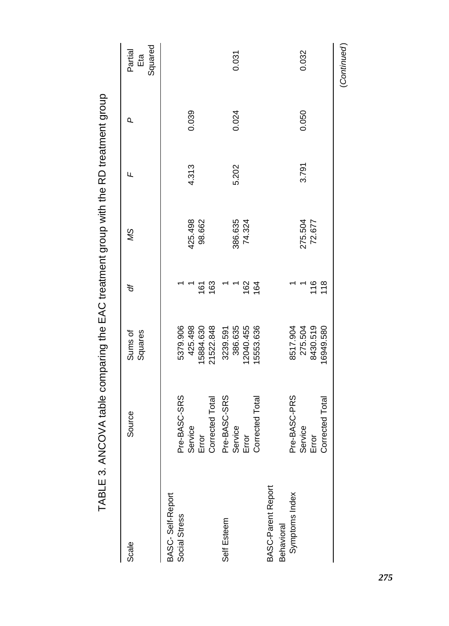|                                   | TABLE 3. ANCOVA table comparing the EAC treatment group with the RD treatment group |                    |                |         |       |       |                           |
|-----------------------------------|-------------------------------------------------------------------------------------|--------------------|----------------|---------|-------|-------|---------------------------|
| Scale                             | Source                                                                              | Squares<br>Sums of | đ              | SW      | щ     | ٩     | Squared<br>Partial<br>Еfa |
| BASC-Self-Report<br>Social Stress | Pre-BASC-SRS                                                                        | 5379.906           |                |         |       |       |                           |
|                                   | Service                                                                             | 425.498            |                | 425.498 | 4.313 | 0.039 |                           |
|                                   | Error                                                                               | 5884.630           | $\frac{6}{16}$ | 98.662  |       |       |                           |
|                                   | Corrected Total                                                                     | 21522.848          | 163            |         |       |       |                           |
| Self Esteem                       | Pre-BASC-SRS                                                                        | 3239.591           |                |         |       |       |                           |
|                                   | Service                                                                             | 386.635            |                | 386.635 | 5.202 | 0.024 | 0.031                     |
|                                   | Error                                                                               | 2040.455           | 162            | 74.324  |       |       |                           |
|                                   | Corrected Total                                                                     | 5553.636           | 164            |         |       |       |                           |
| BASC-Parent Report                |                                                                                     |                    |                |         |       |       |                           |
| <b>Behavioral</b>                 |                                                                                     |                    |                |         |       |       |                           |
| Symptoms Index                    | Pre-BASC-PRS                                                                        | 8517.904           |                |         |       |       |                           |
|                                   | Service                                                                             | 275.504            |                | 275.504 | 3.791 | 0.050 | 0.032                     |
|                                   | Error                                                                               | 8430.519           | 116            | 72.677  |       |       |                           |
|                                   | <b>Corrected Total</b>                                                              | 6949.580           | 118            |         |       |       |                           |
|                                   |                                                                                     |                    |                |         |       |       | (Continued)               |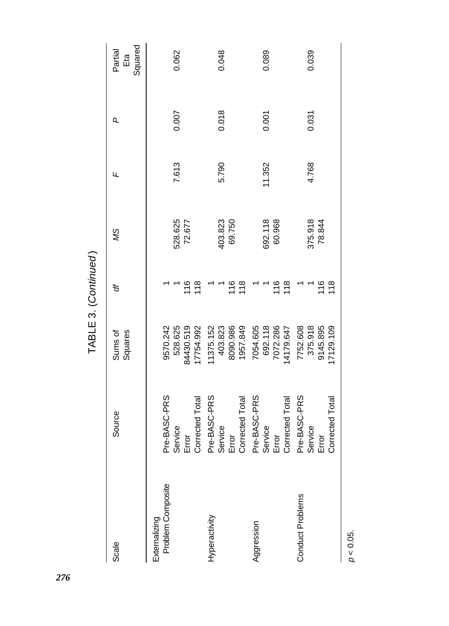|                                    |                                                            | TABLE 3. (Continued)                         |            |                   |        |       |                           |
|------------------------------------|------------------------------------------------------------|----------------------------------------------|------------|-------------------|--------|-------|---------------------------|
| Scale                              | Source                                                     | Sums of<br>Squares                           | đ          | SM                | Щ      | p     | Squared<br>Partial<br>Еtа |
| Problem Composite<br>Externalizing | Pre-BASC-PRS<br>Corrected Total<br>Service<br>Error        | 9570.242<br>34430.519<br>7754.992<br>528.625 | 16<br>118  | 528.625<br>72.677 | 7.613  | 0.007 | 0.062                     |
| Hyperactivity                      | Pre-BASC-PRS<br>Corrected Total<br>Service<br>Error        | 1957.849<br>1375.152<br>403.823<br>8090.986  | 16<br>118  | 403.823<br>69.750 | 5.790  | 0.018 | 0.048                     |
| Aggression                         | Pre-BASC-PRS<br>Corrected Total<br>Service<br>Error        | 692.118<br>7072.286<br>7054.605<br>4179.647  | 116<br>118 | 692.118<br>60.968 | 11.352 | 0.001 | 0.089                     |
| Conduct Problems                   | Pre-BASC-PRS<br><b>Corrected Total</b><br>Service<br>Error | 375.918<br>7752.608<br>9145.895<br>7129.109  | 116<br>118 | 375.918<br>78.844 | 4.768  | 0.031 | 0.039                     |

*p* < 0.05.

*276*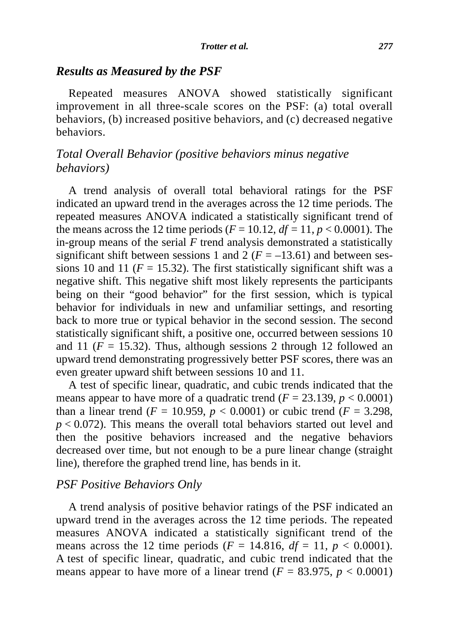### *Results as Measured by the PSF*

Repeated measures ANOVA showed statistically significant improvement in all three-scale scores on the PSF: (a) total overall behaviors, (b) increased positive behaviors, and (c) decreased negative behaviors.

# *Total Overall Behavior (positive behaviors minus negative behaviors)*

A trend analysis of overall total behavioral ratings for the PSF indicated an upward trend in the averages across the 12 time periods. The repeated measures ANOVA indicated a statistically significant trend of the means across the 12 time periods ( $F = 10.12$ ,  $df = 11$ ,  $p < 0.0001$ ). The in-group means of the serial *F* trend analysis demonstrated a statistically significant shift between sessions 1 and 2  $(F = -13.61)$  and between sessions 10 and 11 ( $F = 15.32$ ). The first statistically significant shift was a negative shift. This negative shift most likely represents the participants being on their "good behavior" for the first session, which is typical behavior for individuals in new and unfamiliar settings, and resorting back to more true or typical behavior in the second session. The second statistically significant shift, a positive one, occurred between sessions 10 and 11 ( $F = 15.32$ ). Thus, although sessions 2 through 12 followed an upward trend demonstrating progressively better PSF scores, there was an even greater upward shift between sessions 10 and 11.

A test of specific linear, quadratic, and cubic trends indicated that the means appear to have more of a quadratic trend  $(F = 23.139, p < 0.0001)$ than a linear trend  $(F = 10.959, p < 0.0001)$  or cubic trend  $(F = 3.298,$  $p < 0.072$ ). This means the overall total behaviors started out level and then the positive behaviors increased and the negative behaviors decreased over time, but not enough to be a pure linear change (straight line), therefore the graphed trend line, has bends in it.

#### *PSF Positive Behaviors Only*

A trend analysis of positive behavior ratings of the PSF indicated an upward trend in the averages across the 12 time periods. The repeated measures ANOVA indicated a statistically significant trend of the means across the 12 time periods ( $F = 14.816$ ,  $df = 11$ ,  $p < 0.0001$ ). A test of specific linear, quadratic, and cubic trend indicated that the means appear to have more of a linear trend  $(F = 83.975, p < 0.0001)$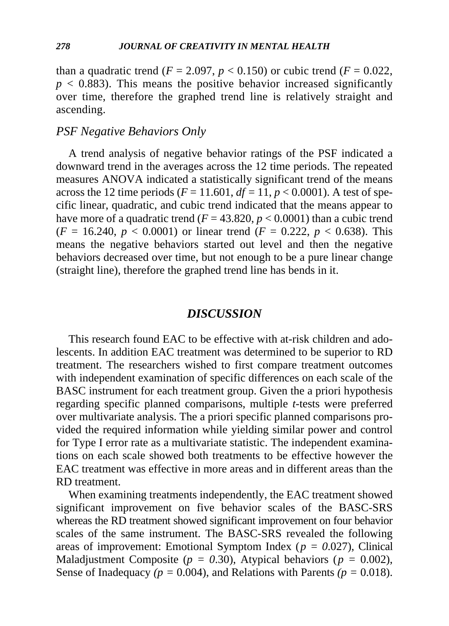than a quadratic trend ( $F = 2.097$ ,  $p < 0.150$ ) or cubic trend ( $F = 0.022$ ,  $p < 0.883$ ). This means the positive behavior increased significantly over time, therefore the graphed trend line is relatively straight and ascending.

## *PSF Negative Behaviors Only*

A trend analysis of negative behavior ratings of the PSF indicated a downward trend in the averages across the 12 time periods. The repeated measures ANOVA indicated a statistically significant trend of the means across the 12 time periods ( $F = 11.601$ ,  $df = 11$ ,  $p < 0.0001$ ). A test of specific linear, quadratic, and cubic trend indicated that the means appear to have more of a quadratic trend ( $F = 43.820$ ,  $p < 0.0001$ ) than a cubic trend  $(F = 16.240, p < 0.0001)$  or linear trend  $(F = 0.222, p < 0.638)$ . This means the negative behaviors started out level and then the negative behaviors decreased over time, but not enough to be a pure linear change (straight line), therefore the graphed trend line has bends in it.

#### *DISCUSSION*

This research found EAC to be effective with at-risk children and adolescents. In addition EAC treatment was determined to be superior to RD treatment. The researchers wished to first compare treatment outcomes with independent examination of specific differences on each scale of the BASC instrument for each treatment group. Given the a priori hypothesis regarding specific planned comparisons, multiple *t*-tests were preferred over multivariate analysis. The a priori specific planned comparisons provided the required information while yielding similar power and control for Type I error rate as a multivariate statistic. The independent examinations on each scale showed both treatments to be effective however the EAC treatment was effective in more areas and in different areas than the RD treatment.

When examining treatments independently, the EAC treatment showed significant improvement on five behavior scales of the BASC-SRS whereas the RD treatment showed significant improvement on four behavior scales of the same instrument. The BASC-SRS revealed the following areas of improvement: Emotional Symptom Index (*p = 0*.027), Clinical Maladjustment Composite ( $p = 0.30$ ), Atypical behaviors ( $p = 0.002$ ), Sense of Inadequacy *(p =* 0.004), and Relations with Parents *(p =* 0.018).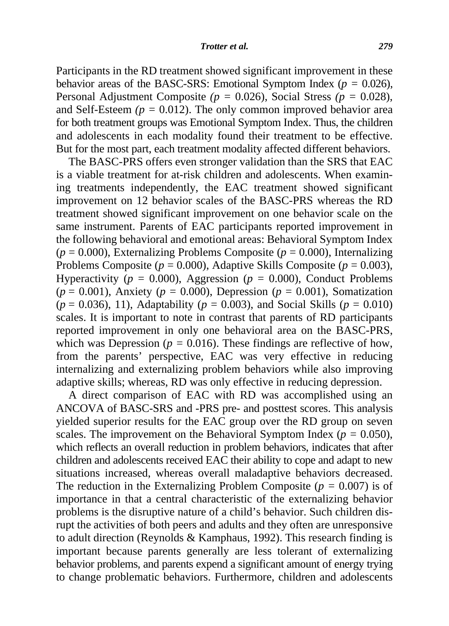Participants in the RD treatment showed significant improvement in these behavior areas of the BASC-SRS: Emotional Symptom Index (*p =* 0.026), Personal Adjustment Composite *(p =* 0.026), Social Stress *(p =* 0.028), and Self-Esteem  $(p = 0.012)$ . The only common improved behavior area for both treatment groups was Emotional Symptom Index. Thus, the children and adolescents in each modality found their treatment to be effective. But for the most part, each treatment modality affected different behaviors.

The BASC-PRS offers even stronger validation than the SRS that EAC is a viable treatment for at-risk children and adolescents. When examining treatments independently, the EAC treatment showed significant improvement on 12 behavior scales of the BASC-PRS whereas the RD treatment showed significant improvement on one behavior scale on the same instrument. Parents of EAC participants reported improvement in the following behavioral and emotional areas: Behavioral Symptom Index  $(p = 0.000)$ , Externalizing Problems Composite  $(p = 0.000)$ , Internalizing Problems Composite ( $p = 0.000$ ), Adaptive Skills Composite ( $p = 0.003$ ), Hyperactivity  $(p = 0.000)$ , Aggression  $(p = 0.000)$ , Conduct Problems  $(p = 0.001)$ , Anxiety ( $p = 0.000$ ), Depression ( $p = 0.001$ ), Somatization  $(p = 0.036)$ , 11), Adaptability ( $p = 0.003$ ), and Social Skills ( $p = 0.010$ ) scales. It is important to note in contrast that parents of RD participants reported improvement in only one behavioral area on the BASC-PRS, which was Depression ( $p = 0.016$ ). These findings are reflective of how, from the parents' perspective, EAC was very effective in reducing internalizing and externalizing problem behaviors while also improving adaptive skills; whereas, RD was only effective in reducing depression.

A direct comparison of EAC with RD was accomplished using an ANCOVA of BASC-SRS and -PRS pre- and posttest scores. This analysis yielded superior results for the EAC group over the RD group on seven scales. The improvement on the Behavioral Symptom Index ( $p = 0.050$ ), which reflects an overall reduction in problem behaviors, indicates that after children and adolescents received EAC their ability to cope and adapt to new situations increased, whereas overall maladaptive behaviors decreased. The reduction in the Externalizing Problem Composite ( $p = 0.007$ ) is of importance in that a central characteristic of the externalizing behavior problems is the disruptive nature of a child's behavior. Such children disrupt the activities of both peers and adults and they often are unresponsive to adult direction (Reynolds & Kamphaus, 1992). This research finding is important because parents generally are less tolerant of externalizing behavior problems, and parents expend a significant amount of energy trying to change problematic behaviors. Furthermore, children and adolescents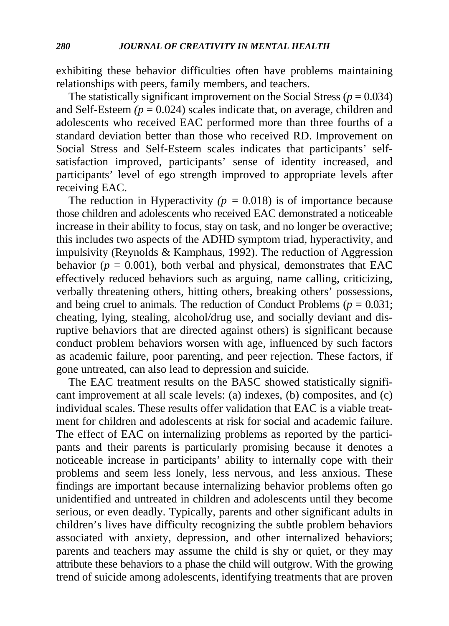exhibiting these behavior difficulties often have problems maintaining relationships with peers, family members, and teachers.

The statistically significant improvement on the Social Stress ( $p = 0.034$ ) and Self-Esteem  $(p = 0.024)$  scales indicate that, on average, children and adolescents who received EAC performed more than three fourths of a standard deviation better than those who received RD. Improvement on Social Stress and Self-Esteem scales indicates that participants' selfsatisfaction improved, participants' sense of identity increased, and participants' level of ego strength improved to appropriate levels after receiving EAC.

The reduction in Hyperactivity  $(p = 0.018)$  is of importance because those children and adolescents who received EAC demonstrated a noticeable increase in their ability to focus, stay on task, and no longer be overactive; this includes two aspects of the ADHD symptom triad, hyperactivity, and impulsivity (Reynolds & Kamphaus, 1992). The reduction of Aggression behavior ( $p = 0.001$ ), both verbal and physical, demonstrates that EAC effectively reduced behaviors such as arguing, name calling, criticizing, verbally threatening others, hitting others, breaking others' possessions, and being cruel to animals. The reduction of Conduct Problems ( $p = 0.031$ ; cheating, lying, stealing, alcohol/drug use, and socially deviant and disruptive behaviors that are directed against others) is significant because conduct problem behaviors worsen with age, influenced by such factors as academic failure, poor parenting, and peer rejection. These factors, if gone untreated, can also lead to depression and suicide.

The EAC treatment results on the BASC showed statistically significant improvement at all scale levels: (a) indexes, (b) composites, and (c) individual scales. These results offer validation that EAC is a viable treatment for children and adolescents at risk for social and academic failure. The effect of EAC on internalizing problems as reported by the participants and their parents is particularly promising because it denotes a noticeable increase in participants' ability to internally cope with their problems and seem less lonely, less nervous, and less anxious. These findings are important because internalizing behavior problems often go unidentified and untreated in children and adolescents until they become serious, or even deadly. Typically, parents and other significant adults in children's lives have difficulty recognizing the subtle problem behaviors associated with anxiety, depression, and other internalized behaviors; parents and teachers may assume the child is shy or quiet, or they may attribute these behaviors to a phase the child will outgrow. With the growing trend of suicide among adolescents, identifying treatments that are proven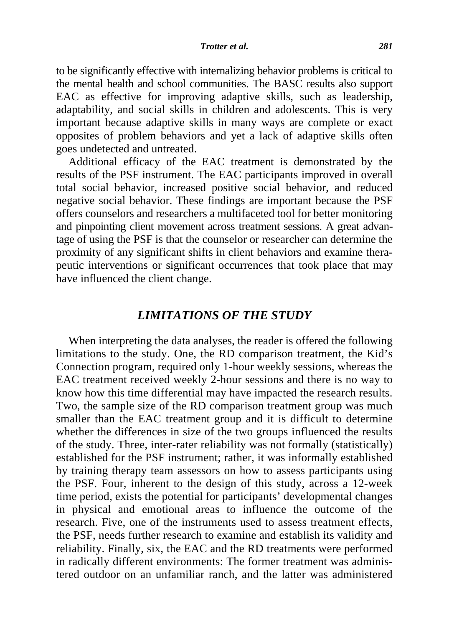to be significantly effective with internalizing behavior problems is critical to the mental health and school communities. The BASC results also support EAC as effective for improving adaptive skills, such as leadership, adaptability, and social skills in children and adolescents. This is very important because adaptive skills in many ways are complete or exact opposites of problem behaviors and yet a lack of adaptive skills often goes undetected and untreated.

Additional efficacy of the EAC treatment is demonstrated by the results of the PSF instrument. The EAC participants improved in overall total social behavior, increased positive social behavior, and reduced negative social behavior. These findings are important because the PSF offers counselors and researchers a multifaceted tool for better monitoring and pinpointing client movement across treatment sessions. A great advantage of using the PSF is that the counselor or researcher can determine the proximity of any significant shifts in client behaviors and examine therapeutic interventions or significant occurrences that took place that may have influenced the client change.

# *LIMITATIONS OF THE STUDY*

When interpreting the data analyses, the reader is offered the following limitations to the study. One, the RD comparison treatment, the Kid's Connection program, required only 1-hour weekly sessions, whereas the EAC treatment received weekly 2-hour sessions and there is no way to know how this time differential may have impacted the research results. Two, the sample size of the RD comparison treatment group was much smaller than the EAC treatment group and it is difficult to determine whether the differences in size of the two groups influenced the results of the study. Three, inter-rater reliability was not formally (statistically) established for the PSF instrument; rather, it was informally established by training therapy team assessors on how to assess participants using the PSF. Four, inherent to the design of this study, across a 12-week time period, exists the potential for participants' developmental changes in physical and emotional areas to influence the outcome of the research. Five, one of the instruments used to assess treatment effects, the PSF, needs further research to examine and establish its validity and reliability. Finally, six, the EAC and the RD treatments were performed in radically different environments: The former treatment was administered outdoor on an unfamiliar ranch, and the latter was administered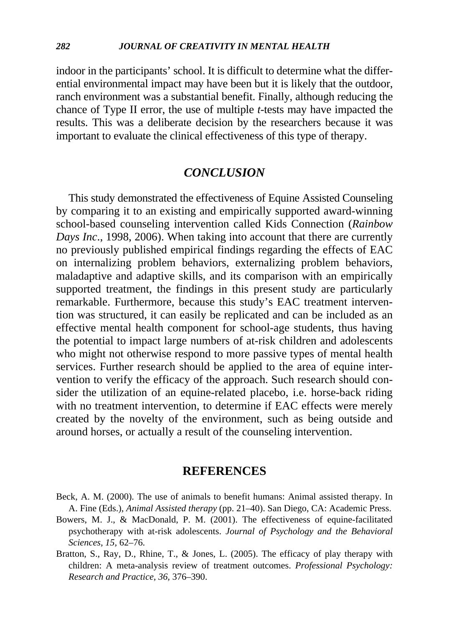indoor in the participants' school. It is difficult to determine what the differential environmental impact may have been but it is likely that the outdoor, ranch environment was a substantial benefit. Finally, although reducing the chance of Type II error, the use of multiple *t*-tests may have impacted the results. This was a deliberate decision by the researchers because it was important to evaluate the clinical effectiveness of this type of therapy.

## *CONCLUSION*

This study demonstrated the effectiveness of Equine Assisted Counseling by comparing it to an existing and empirically supported award-winning school-based counseling intervention called Kids Connection (*Rainbow Days Inc*., 1998, 2006). When taking into account that there are currently no previously published empirical findings regarding the effects of EAC on internalizing problem behaviors, externalizing problem behaviors, maladaptive and adaptive skills, and its comparison with an empirically supported treatment, the findings in this present study are particularly remarkable. Furthermore, because this study's EAC treatment intervention was structured, it can easily be replicated and can be included as an effective mental health component for school-age students, thus having the potential to impact large numbers of at-risk children and adolescents who might not otherwise respond to more passive types of mental health services. Further research should be applied to the area of equine intervention to verify the efficacy of the approach. Such research should consider the utilization of an equine-related placebo, i.e. horse-back riding with no treatment intervention, to determine if EAC effects were merely created by the novelty of the environment, such as being outside and around horses, or actually a result of the counseling intervention.

## **REFERENCES**

- Beck, A. M. (2000). The use of animals to benefit humans: Animal assisted therapy. In A. Fine (Eds.), *Animal Assisted therapy* (pp. 21–40). San Diego, CA: Academic Press.
- Bowers, M. J., & MacDonald, P. M. (2001). The effectiveness of equine-facilitated psychotherapy with at-risk adolescents. *Journal of Psychology and the Behavioral Sciences, 15,* 62–76.
- Bratton, S., Ray, D., Rhine, T., & Jones, L. (2005). The efficacy of play therapy with children: A meta-analysis review of treatment outcomes. *Professional Psychology: Research and Practice, 36,* 376–390.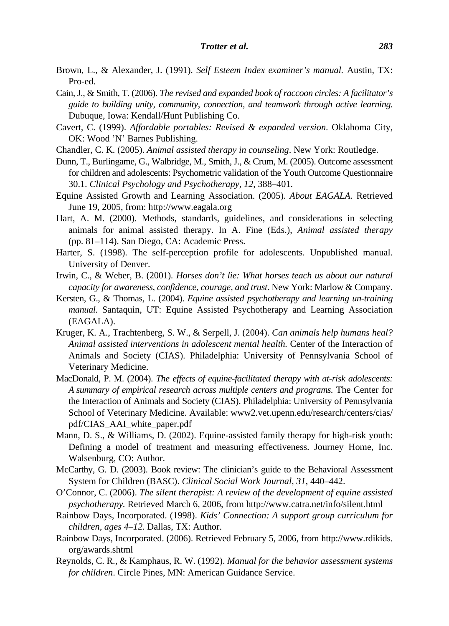- Brown, L., & Alexander, J. (1991). *Self Esteem Index examiner's manual.* Austin, TX: Pro-ed.
- Cain, J., & Smith, T. (2006). *The revised and expanded book of raccoon circles: A facilitator's guide to building unity, community, connection, and teamwork through active learning.* Dubuque, Iowa: Kendall/Hunt Publishing Co.
- Cavert, C. (1999). *Affordable portables: Revised & expanded version*. Oklahoma City, OK: Wood 'N' Barnes Publishing.
- Chandler, C. K. (2005). *Animal assisted therapy in counseling*. New York: Routledge.
- Dunn, T., Burlingame, G., Walbridge, M., Smith, J., & Crum, M. (2005). Outcome assessment for children and adolescents: Psychometric validation of the Youth Outcome Questionnaire 30.1. *Clinical Psychology and Psychotherapy*, *12*, 388–401.
- Equine Assisted Growth and Learning Association. (2005). *About EAGALA.* Retrieved June 19, 2005, from: http://www.eagala.org
- Hart, A. M. (2000). Methods, standards, guidelines, and considerations in selecting animals for animal assisted therapy. In A. Fine (Eds.), *Animal assisted therapy* (pp. 81–114). San Diego, CA: Academic Press.
- Harter, S. (1998). The self-perception profile for adolescents. Unpublished manual. University of Denver.
- Irwin, C., & Weber, B. (2001). *Horses don't lie: What horses teach us about our natural capacity for awareness, confidence, courage, and trust*. New York: Marlow & Company.
- Kersten, G., & Thomas, L. (2004). *Equine assisted psychotherapy and learning un-training manual*. Santaquin, UT: Equine Assisted Psychotherapy and Learning Association (EAGALA).
- Kruger, K. A., Trachtenberg, S. W., & Serpell, J. (2004). *Can animals help humans heal? Animal assisted interventions in adolescent mental health.* Center of the Interaction of Animals and Society (CIAS). Philadelphia: University of Pennsylvania School of Veterinary Medicine.
- MacDonald, P. M. (2004). *The effects of equine-facilitated therapy with at-risk adolescents: A summary of empirical research across multiple centers and programs.* The Center for the Interaction of Animals and Society (CIAS). Philadelphia: University of Pennsylvania School of Veterinary Medicine. Available: www2.vet.upenn.edu/research/centers/cias/ pdf/CIAS\_AAI\_white\_paper.pdf
- Mann, D. S., & Williams, D. (2002). Equine-assisted family therapy for high-risk youth: Defining a model of treatment and measuring effectiveness. Journey Home, Inc. Walsenburg, CO: Author.
- McCarthy, G. D. (2003). Book review: The clinician's guide to the Behavioral Assessment System for Children (BASC). *Clinical Social Work Journal, 31*, 440–442.
- O'Connor, C. (2006). *The silent therapist: A review of the development of equine assisted psychotherapy.* Retrieved March 6, 2006, from http://www.catra.net/info/silent.html
- Rainbow Days, Incorporated. (1998). *Kids' Connection: A support group curriculum for children, ages 4–12*. Dallas, TX: Author.
- Rainbow Days, Incorporated. (2006). Retrieved February 5, 2006, from http://www.rdikids. org/awards.shtml
- Reynolds, C. R., & Kamphaus, R. W. (1992). *Manual for the behavior assessment systems for children*. Circle Pines, MN: American Guidance Service.